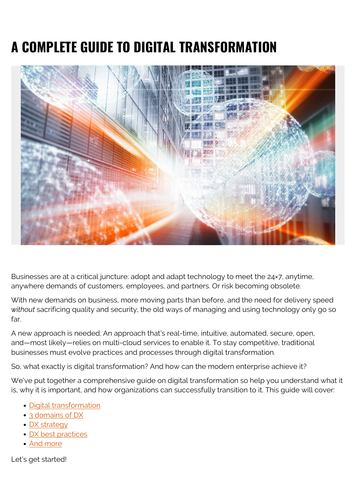# **A COMPLETE GUIDE TO DIGITAL TRANSFORMATION**



Businesses are at a critical juncture: adopt and adapt technology to meet the 24×7, anytime, anywhere demands of customers, employees, and partners. Or risk becoming obsolete.

With new demands on business, more moving parts than before, and the need for delivery speed *without* sacrificing quality and security, the old ways of managing and using technology only go so far.

A new approach is needed. An approach that's real-time, intuitive, automated, secure, open, and—most likely—relies on multi-cloud services to enable it. To stay competitive, traditional businesses must evolve practices and processes through digital transformation.

So, what exactly is digital transformation? And how can the modern enterprise achieve it?

We've put together a comprehensive guide on digital transformation so help you understand what it is, why it is important, and how organizations can successfully transition to it. This guide will cover:

- [Digital transformation](#page--1-0)
- [3 domains of DX](#page--1-0)
- **DX** strategy
- [DX best practices](#page--1-0)
- [And more](#page--1-0)

Let's get started!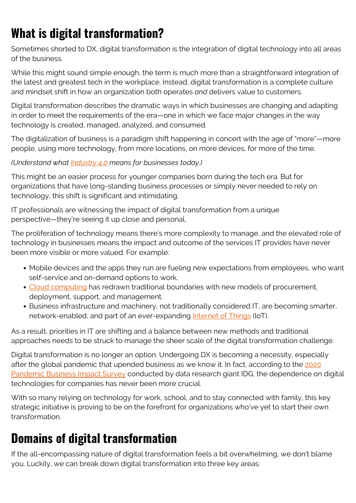### **What is digital transformation?**

Sometimes shorted to DX, digital transformation is the integration of digital technology into all areas of the business.

While this might sound simple enough, the term is much more than a straightforward integration of the latest and greatest tech in the workplace. Instead, digital transformation is a complete culture and mindset shift in how an organization both operates *and* delivers value to customers.

Digital transformation describes the dramatic ways in which businesses are changing and adapting in order to meet the requirements of the era—one in which we face major changes in the way technology is created, managed, analyzed, and consumed.

The digitalization of business is a paradigm shift happening in concert with the age of "more"—more people, using more technology, from more locations, on more devices, for more of the time.

#### *(Understand what [Industry 4.0](https://blogs.bmc.com/blogs/fourth-industrial-revolution/) means for businesses today.)*

This might be an easier process for younger companies born during the tech era. But for organizations that have long-standing business processes or simply never needed to rely on technology, this shift is significant and intimidating.

IT professionals are witnessing the impact of digital transformation from a unique perspective—they're seeing it up close and personal.

The proliferation of technology means there's more complexity to manage, and the elevated role of technology in businesses means the impact and outcome of the services IT provides have never been more visible or more valued. For example:

- Mobile devices and the apps they run are fueling new expectations from employees, who want self-service and on-demand options to work.
- [Cloud computing](https://blogs.bmc.com/blogs/saas-vs-paas-vs-iaas-whats-the-difference-and-how-to-choose/) has redrawn traditional boundaries with new models of procurement, deployment, support, and management.
- Business infrastructure and machinery, not traditionally considered IT, are becoming smarter, network-enabled, and part of an ever-expanding **Internet of Things** (IoT).

As a result, priorities in IT are shifting and a balance between new methods and traditional approaches needs to be struck to manage the sheer scale of the digital transformation challenge.

Digital transformation is no longer an option. Undergoing DX is becoming a necessity, especially after the global pandemic that upended business as we know it. In fact, according to the [2020](https://www.idg.com/tools-for-marketers/cio-pandemic-business-impact-survey-2020/) [Pandemic Business Impact Survey](https://www.idg.com/tools-for-marketers/cio-pandemic-business-impact-survey-2020/) conducted by data research giant IDG, the dependence on digital technologies for companies has never been more crucial.

With so many relying on technology for work, school, and to stay connected with family, this key strategic initiative is proving to be on the forefront for organizations who've yet to start their own transformation.

### **Domains of digital transformation**

If the all-encompassing nature of digital transformation feels a bit overwhelming, we don't blame you. Luckily, we can break down digital transformation into three key areas: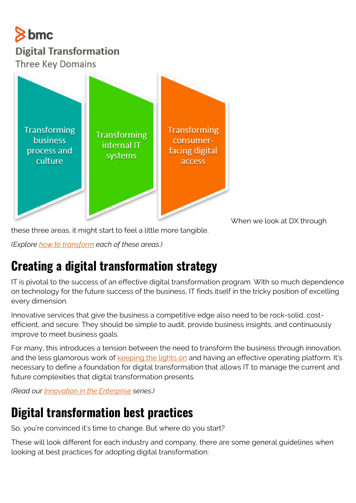#### $8$  bmc **Digital Transformation Three Key Domains**



When we look at DX through

these three areas, it might start to feel a little more tangible.

*(Explore [how to transform](https://blogs.bmc.com/blogs/tranformation-digital-vs-business-vs-it/) each of these areas.)*

### **Creating a digital transformation strategy**

IT is pivotal to the success of an effective digital transformation program. With so much dependence on technology for the future success of the business, IT finds itself in the tricky position of excelling every dimension.

Innovative services that give the business a competitive edge also need to be rock-solid, costefficient, and secure. They should be simple to audit, provide business insights, and continuously improve to meet business goals.

For many, this introduces a tension between the need to transform the business through innovation, and the less glamorous work of [keeping the lights on](https://blogs.bmc.com/blogs/keeping-the-lights-on-ktlo/) and having an effective operating platform. It's necessary to define a foundation for digital transformation that allows IT to manage the current and future complexities that digital transformation presents.

*(Read our [Innovation in the Enterprise](https://blogs.bmc.com/blogs/innovation-introduction-basics/) series.)*

### **Digital transformation best practices**

So, you're convinced it's time to change. But where do you start?

These will look different for each industry and company, there are some general guidelines when looking at best practices for adopting digital transformation: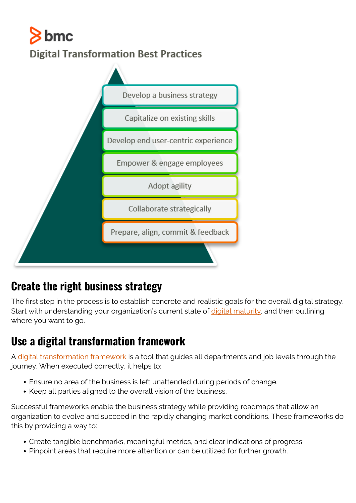## $\geq$  bmc **Digital Transformation Best Practices**



#### **Create the right business strategy**

The first step in the process is to establish concrete and realistic goals for the overall digital strategy. Start with understanding your organization's current state of [digital maturity,](https://blogs.bmc.com/blogs/digital-maturity-models/) and then outlining where you want to go.

#### **Use a digital transformation framework**

A [digital transformation framework](https://blogs.bmc.com/blogs/digital-transformation-framework/) is a tool that guides all departments and job levels through the journey. When executed correctly, it helps to:

- Ensure no area of the business is left unattended during periods of change.
- Keep all parties aligned to the overall vision of the business.

Successful frameworks enable the business strategy while providing roadmaps that allow an organization to evolve and succeed in the rapidly changing market conditions. These frameworks do this by providing a way to:

- Create tangible benchmarks, meaningful metrics, and clear indications of progress
- Pinpoint areas that require more attention or can be utilized for further growth.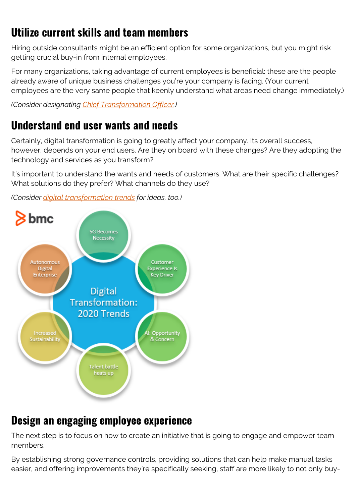### **Utilize current skills and team members**

Hiring outside consultants might be an efficient option for some organizations, but you might risk getting crucial buy-in from internal employees.

For many organizations, taking advantage of current employees is beneficial: these are the people already aware of unique business challenges you're your company is facing. (Your current employees are the very same people that keenly understand what areas need change immediately.)

*(Consider designating [Chief Transformation Officer.](https://blogs.bmc.com/blogs/cto-chief-transformation-officer/))*

#### **Understand end user wants and needs**

Certainly, digital transformation is going to greatly affect your company. Its overall success, however, depends on your end users. Are they on board with these changes? Are they adopting the technology and services as you transform?

It's important to understand the wants and needs of customers. What are their specific challenges? What solutions do they prefer? What channels do they use?

*(Consider [digital transformation trends](https://blogs.bmc.com/blogs/digital-transformation-trends/) for ideas, too.)*



#### **Design an engaging employee experience**

The next step is to focus on how to create an initiative that is going to engage and empower team members.

By establishing strong governance controls, providing solutions that can help make manual tasks easier, and offering improvements they're specifically seeking, staff are more likely to not only buy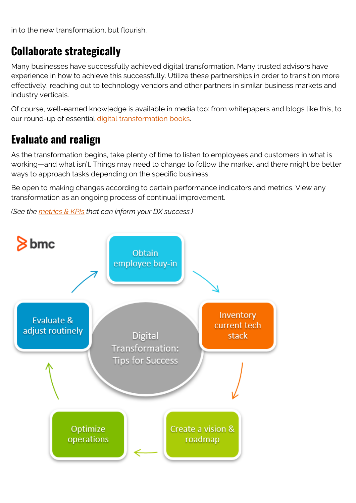in to the new transformation, but flourish.

#### **Collaborate strategically**

Many businesses have successfully achieved digital transformation. Many trusted advisors have experience in how to achieve this successfully. Utilize these partnerships in order to transition more effectively, reaching out to technology vendors and other partners in similar business markets and industry verticals.

Of course, well-earned knowledge is available in media too: from whitepapers and blogs like this, to our round-up of essential [digital transformation books.](https://blogs.bmc.com/blogs/digital-transformation-books/)

#### **Evaluate and realign**

As the transformation begins, take plenty of time to listen to employees and customers in what is working—and what isn't. Things may need to change to follow the market and there might be better ways to approach tasks depending on the specific business.

Be open to making changes according to certain performance indicators and metrics. View any transformation as an ongoing process of continual improvement.

*(See the [metrics & KPIs](https://blogs.bmc.com/blogs/digital-transformation-metrics-kpis/) that can inform your DX success.)*